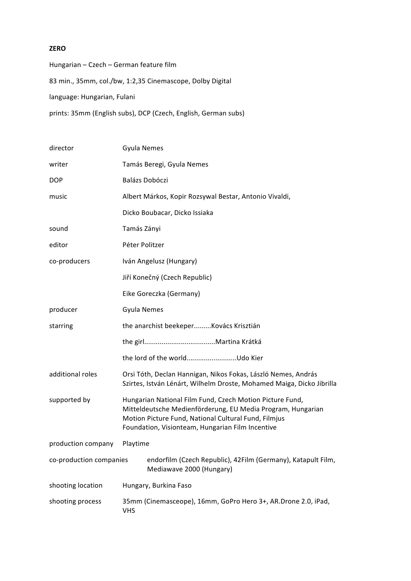## **ZERO**

Hungarian – Czech – German feature film 83 min., 35mm, col./bw, 1:2,35 Cinemascope, Dolby Digital language: Hungarian, Fulani prints: 35mm (English subs), DCP (Czech, English, German subs)

| director                | Gyula Nemes                                                                                                                                                                                                                         |  |
|-------------------------|-------------------------------------------------------------------------------------------------------------------------------------------------------------------------------------------------------------------------------------|--|
| writer                  | Tamás Beregi, Gyula Nemes                                                                                                                                                                                                           |  |
| <b>DOP</b>              | <b>Balázs Dobóczi</b>                                                                                                                                                                                                               |  |
| music                   | Albert Márkos, Kopir Rozsywal Bestar, Antonio Vivaldi,                                                                                                                                                                              |  |
|                         | Dicko Boubacar, Dicko Issiaka                                                                                                                                                                                                       |  |
| sound                   | Tamás Zányi                                                                                                                                                                                                                         |  |
| editor                  | Péter Politzer                                                                                                                                                                                                                      |  |
| co-producers            | Iván Angelusz (Hungary)                                                                                                                                                                                                             |  |
|                         | Jiří Konečný (Czech Republic)                                                                                                                                                                                                       |  |
|                         | Eike Goreczka (Germany)                                                                                                                                                                                                             |  |
| producer                | <b>Gyula Nemes</b>                                                                                                                                                                                                                  |  |
| starring                | the anarchist beekeperKovács Krisztián                                                                                                                                                                                              |  |
|                         |                                                                                                                                                                                                                                     |  |
|                         | the lord of the worldUdo Kier                                                                                                                                                                                                       |  |
| additional roles        | Orsi Tóth, Declan Hannigan, Nikos Fokas, László Nemes, András<br>Szirtes, István Lénárt, Wilhelm Droste, Mohamed Maiga, Dicko Jibrilla                                                                                              |  |
| supported by            | Hungarian National Film Fund, Czech Motion Picture Fund,<br>Mitteldeutsche Medienförderung, EU Media Program, Hungarian<br>Motion Picture Fund, National Cultural Fund, Filmjus<br>Foundation, Visionteam, Hungarian Film Incentive |  |
| production company      | Playtime                                                                                                                                                                                                                            |  |
| co-production companies | endorfilm (Czech Republic), 42Film (Germany), Katapult Film,<br>Mediawave 2000 (Hungary)                                                                                                                                            |  |
| shooting location       | Hungary, Burkina Faso                                                                                                                                                                                                               |  |
| shooting process        | 35mm (Cinemasceope), 16mm, GoPro Hero 3+, AR.Drone 2.0, iPad,<br><b>VHS</b>                                                                                                                                                         |  |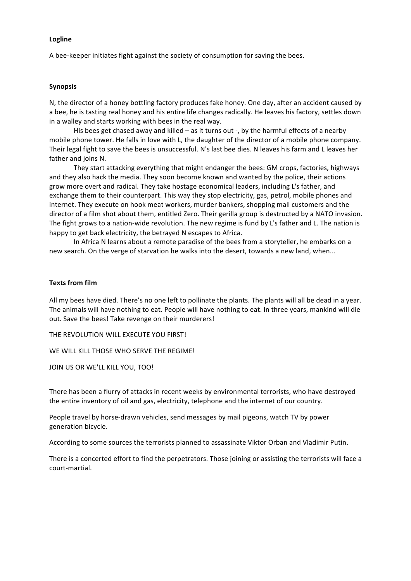#### **Logline**

A bee-keeper initiates fight against the society of consumption for saving the bees.

### **Synopsis**

N, the director of a honey bottling factory produces fake honey. One day, after an accident caused by a bee, he is tasting real honey and his entire life changes radically. He leaves his factory, settles down in a walley and starts working with bees in the real way.

His bees get chased away and killed  $-$  as it turns out  $-$ , by the harmful effects of a nearby mobile phone tower. He falls in love with L, the daughter of the director of a mobile phone company. Their legal fight to save the bees is unsuccessful. N's last bee dies. N leaves his farm and L leaves her father and joins N.

They start attacking everything that might endanger the bees: GM crops, factories, highways and they also hack the media. They soon become known and wanted by the police, their actions grow more overt and radical. They take hostage economical leaders, including L's father, and exchange them to their counterpart. This way they stop electricity, gas, petrol, mobile phones and internet. They execute on hook meat workers, murder bankers, shopping mall customers and the director of a film shot about them, entitled Zero. Their gerilla group is destructed by a NATO invasion. The fight grows to a nation-wide revolution. The new regime is fund by L's father and L. The nation is happy to get back electricity, the betrayed N escapes to Africa.

In Africa N learns about a remote paradise of the bees from a storyteller, he embarks on a new search. On the verge of starvation he walks into the desert, towards a new land, when...

### **Texts from film**

All my bees have died. There's no one left to pollinate the plants. The plants will all be dead in a year. The animals will have nothing to eat. People will have nothing to eat. In three years, mankind will die out. Save the bees! Take revenge on their murderers!

THE REVOLUTION WILL EXECUTE YOU FIRST!

WE WILL KILL THOSE WHO SERVE THE REGIME!

JOIN US OR WE'LL KILL YOU, TOO!

There has been a flurry of attacks in recent weeks by environmental terrorists, who have destroyed the entire inventory of oil and gas, electricity, telephone and the internet of our country.

People travel by horse-drawn vehicles, send messages by mail pigeons, watch TV by power generation bicycle.

According to some sources the terrorists planned to assassinate Viktor Orban and Vladimir Putin.

There is a concerted effort to find the perpetrators. Those joining or assisting the terrorists will face a court-martial.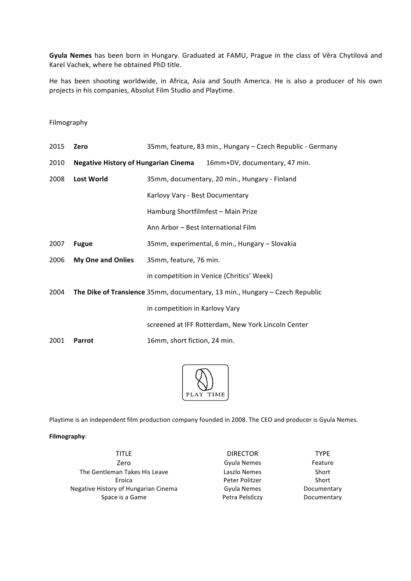Gyula Nemes has been born in Hungary. Graduated at FAMU, Prague in the class of Věra Chytilová and Karel Vachek, where he obtained PhD title.

He has been shooting worldwide, in Africa, Asia and South America. He is also a producer of his own projects in his companies, Absolut Film Studio and Playtime.

### Filmography

| 2015 | Zero                                        | 35mm, feature, 83 min., Hungary - Czech Republic - Germany                  |
|------|---------------------------------------------|-----------------------------------------------------------------------------|
| 2010 | <b>Negative History of Hungarian Cinema</b> | 16mm+DV, documentary, 47 min.                                               |
| 2008 | <b>Lost World</b>                           | 35mm, documentary, 20 min., Hungary - Finland                               |
|      |                                             | Karlovy Vary - Best Documentary                                             |
|      |                                             | Hamburg Shortfilmfest - Main Prize                                          |
|      |                                             | Ann Arbor – Best International Film                                         |
| 2007 | <b>Fugue</b>                                | 35mm, experimental, 6 min., Hungary – Slovakia                              |
| 2006 | <b>My One and Onlies</b>                    | 35mm, feature, 76 min.                                                      |
|      |                                             | in competition in Venice (Chritics' Week)                                   |
| 2004 |                                             | The Dike of Transience 35mm, documentary, 13 min., Hungary - Czech Republic |
|      |                                             | in competition in Karlovy Vary                                              |
|      |                                             | screened at IFF Rotterdam, New York Lincoln Center                          |
| 2001 | Parrot                                      | 16mm, short fiction, 24 min.                                                |
|      |                                             |                                                                             |



Playtime is an independent film production company founded in 2008. The CEO and producer is Gyula Nemes.

# **Filmography**:

TITLE DIRECTOR TYPE Zero **Gyula** Nemes **Feature** The Gentleman Takes His Leave **Laszlo** Nemes Short Eroica **Peter Politzer** Short Negative History of Hungarian Cinema Gyula Nemes Documentary Space is a Game The Space is a Game The Space is a Game The Space of the Petra Pelsőczy The Documentary